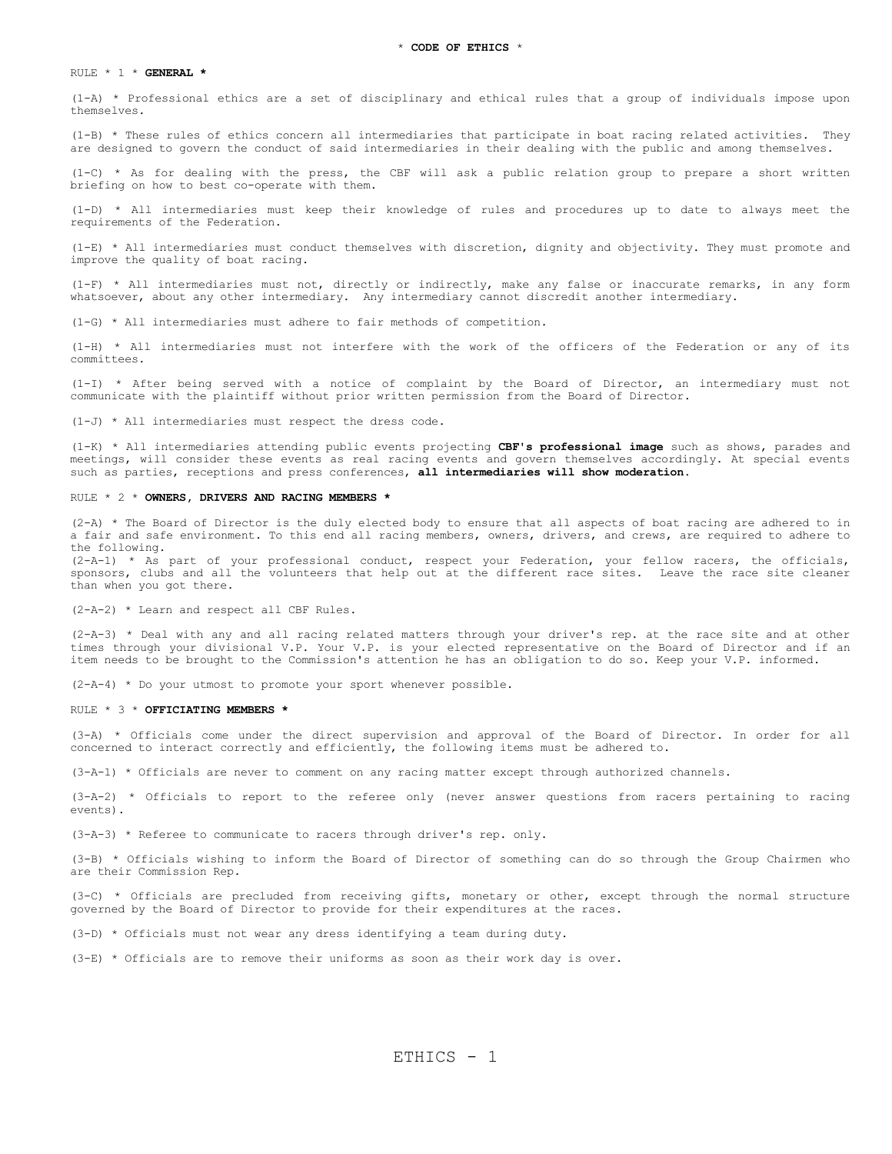# RULE \* 1 \* **GENERAL \***

(1-A) \* Professional ethics are a set of disciplinary and ethical rules that a group of individuals impose upon themselves.

(1-B) \* These rules of ethics concern all intermediaries that participate in boat racing related activities. They are designed to govern the conduct of said intermediaries in their dealing with the public and among themselves.

(1-C) \* As for dealing with the press, the CBF will ask a public relation group to prepare a short written briefing on how to best co-operate with them.

(1-D) \* All intermediaries must keep their knowledge of rules and procedures up to date to always meet the requirements of the Federation.

(1-E) \* All intermediaries must conduct themselves with discretion, dignity and objectivity. They must promote and improve the quality of boat racing.

(1-F) \* All intermediaries must not, directly or indirectly, make any false or inaccurate remarks, in any form whatsoever, about any other intermediary. Any intermediary cannot discredit another intermediary.

(1-G) \* All intermediaries must adhere to fair methods of competition.

(1-H) \* All intermediaries must not interfere with the work of the officers of the Federation or any of its committees.

(1-I) \* After being served with a notice of complaint by the Board of Director, an intermediary must not communicate with the plaintiff without prior written permission from the Board of Director.

(1-J) \* All intermediaries must respect the dress code.

(1-K) \* All intermediaries attending public events projecting **CBF's professional image** such as shows, parades and meetings, will consider these events as real racing events and govern themselves accordingly. At special events such as parties, receptions and press conferences, **all intermediaries will show moderation**.

# RULE \* 2 \* **OWNERS, DRIVERS AND RACING MEMBERS \***

(2-A) \* The Board of Director is the duly elected body to ensure that all aspects of boat racing are adhered to in a fair and safe environment. To this end all racing members, owners, drivers, and crews, are required to adhere to the following.

(2-A-1) \* As part of your professional conduct, respect your Federation, your fellow racers, the officials, sponsors, clubs and all the volunteers that help out at the different race sites. Leave the race site cleaner than when you got there.

(2-A-2) \* Learn and respect all CBF Rules.

(2-A-3) \* Deal with any and all racing related matters through your driver's rep. at the race site and at other times through your divisional V.P. Your V.P. is your elected representative on the Board of Director and if an item needs to be brought to the Commission's attention he has an obligation to do so. Keep your V.P. informed.

(2-A-4) \* Do your utmost to promote your sport whenever possible.

#### RULE \* 3 \* **OFFICIATING MEMBERS \***

(3-A) \* Officials come under the direct supervision and approval of the Board of Director. In order for all concerned to interact correctly and efficiently, the following items must be adhered to.

(3-A-1) \* Officials are never to comment on any racing matter except through authorized channels.

(3-A-2) \* Officials to report to the referee only (never answer questions from racers pertaining to racing events).

(3-A-3) \* Referee to communicate to racers through driver's rep. only.

(3-B) \* Officials wishing to inform the Board of Director of something can do so through the Group Chairmen who are their Commission Rep.

(3-C) \* Officials are precluded from receiving gifts, monetary or other, except through the normal structure governed by the Board of Director to provide for their expenditures at the races.

(3-D) \* Officials must not wear any dress identifying a team during duty.

(3-E) \* Officials are to remove their uniforms as soon as their work day is over.